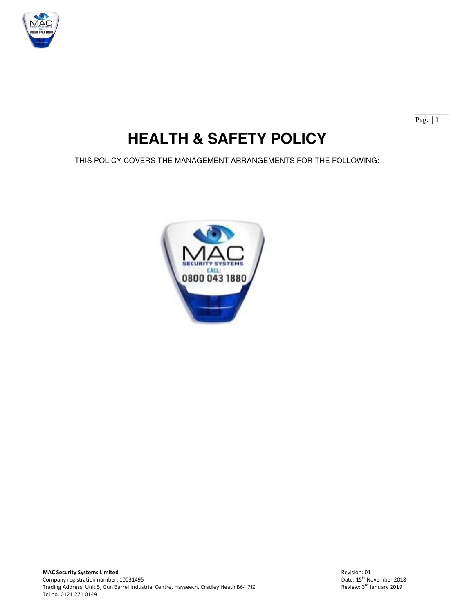

Page | 1

# **HEALTH & SAFETY POLICY**

THIS POLICY COVERS THE MANAGEMENT ARRANGEMENTS FOR THE FOLLOWING:

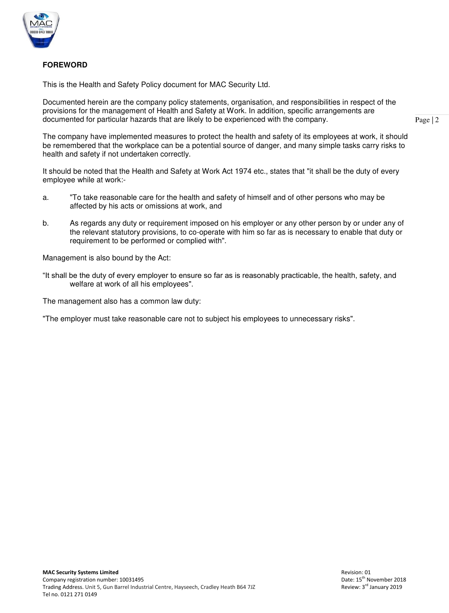

# **FOREWORD**

This is the Health and Safety Policy document for MAC Security Ltd.

Documented herein are the company policy statements, organisation, and responsibilities in respect of the provisions for the management of Health and Safety at Work. In addition, specific arrangements are documented for particular hazards that are likely to be experienced with the company.

The company have implemented measures to protect the health and safety of its employees at work, it should be remembered that the workplace can be a potential source of danger, and many simple tasks carry risks to health and safety if not undertaken correctly.

It should be noted that the Health and Safety at Work Act 1974 etc., states that "it shall be the duty of every employee while at work:-

- a. "To take reasonable care for the health and safety of himself and of other persons who may be affected by his acts or omissions at work, and
- b. As regards any duty or requirement imposed on his employer or any other person by or under any of the relevant statutory provisions, to co-operate with him so far as is necessary to enable that duty or requirement to be performed or complied with".

Management is also bound by the Act:

"It shall be the duty of every employer to ensure so far as is reasonably practicable, the health, safety, and welfare at work of all his employees".

The management also has a common law duty:

"The employer must take reasonable care not to subject his employees to unnecessary risks".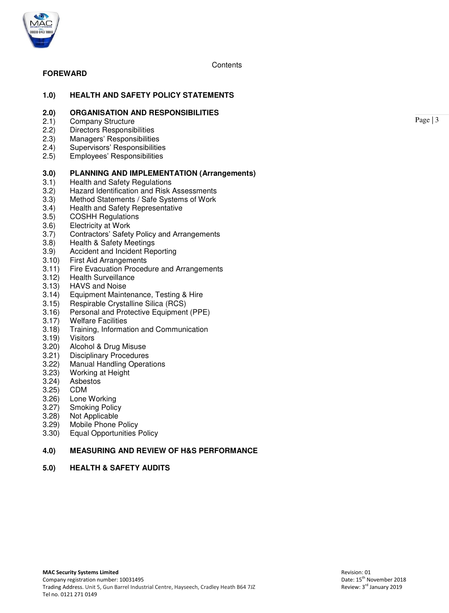

**Contents** 

# **FOREWARD**

# **1.0) HEALTH AND SAFETY POLICY STATEMENTS**

# **2.0) ORGANISATION AND RESPONSIBILITIES**

- 2.1) Company Structure<br>2.2) Directors Responsib
- 2.2) Directors Responsibilities<br>2.3) Managers' Responsibilitie
- 2.3) Managers' Responsibilities<br>2.4) Supervisors' Responsibilitie
- 2.4) Supervisors' Responsibilities<br>2.5) Employees' Responsibilities
- 2.5) Employees' Responsibilities

#### **3.0) PLANNING AND IMPLEMENTATION (Arrangements)**

- 3.1) Health and Safety Regulations<br>3.2) Hazard Identification and Risk
- 3.2) Hazard Identification and Risk Assessments
- 3.3) Method Statements / Safe Systems of Work<br>3.4) Health and Safety Representative
- 3.4) Health and Safety Representative<br>3.5) COSHH Regulations
- 3.5) COSHH Regulations
- 3.6) Electricity at Work<br>3.7) Contractors' Safet
- Contractors' Safety Policy and Arrangements
- 3.8) Health & Safety Meetings
- 3.9) Accident and Incident Reporting<br>3.10) First Aid Arrangements
- 3.10) First Aid Arrangements
- 3.11) Fire Evacuation Procedure and Arrangements
- 3.12) Health Surveillance
- 3.13) HAVS and Noise
- 3.14) Equipment Maintenance, Testing & Hire
- 3.15) Respirable Crystalline Silica (RCS)
- 3.16) Personal and Protective Equipment (PPE)
- 3.17) Welfare Facilities<br>3.18) Training, Informa
- 3.18) Training, Information and Communication
- 3.19) Visitors
- Alcohol & Drug Misuse
- 3.21) Disciplinary Procedures<br>3.22) Manual Handling Opera
- 3.22) Manual Handling Operations<br>3.23) Working at Height
- Working at Height
- 3.24) Asbestos
- 3.25) CDM
- Lone Working
- 
- 3.27) Smoking Policy<br>3.28) Not Applicable 3.28) Not Applicable
- Mobile Phone Policy
- 3.30) Equal Opportunities Policy

# **4.0) MEASURING AND REVIEW OF H&S PERFORMANCE**

#### **5.0) HEALTH & SAFETY AUDITS**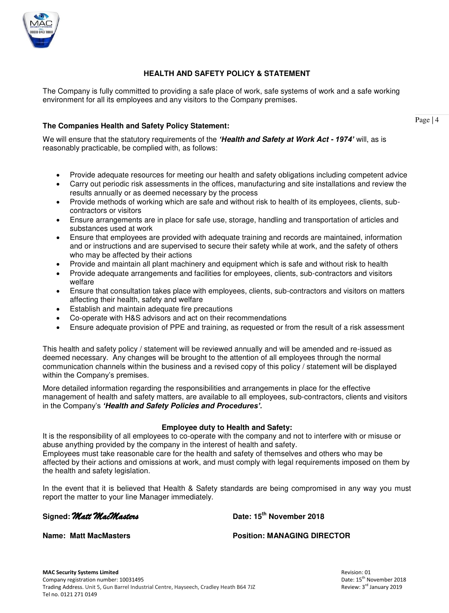

# **HEALTH AND SAFETY POLICY & STATEMENT**

The Company is fully committed to providing a safe place of work, safe systems of work and a safe working environment for all its employees and any visitors to the Company premises.

# **The Companies Health and Safety Policy Statement:**

We will ensure that the statutory requirements of the *'Health and Safety at Work Act - 1974'* will, as is reasonably practicable, be complied with, as follows:

- Provide adequate resources for meeting our health and safety obligations including competent advice
- Carry out periodic risk assessments in the offices, manufacturing and site installations and review the results annually or as deemed necessary by the process
- Provide methods of working which are safe and without risk to health of its employees, clients, subcontractors or visitors
- Ensure arrangements are in place for safe use, storage, handling and transportation of articles and substances used at work
- Ensure that employees are provided with adequate training and records are maintained, information and or instructions and are supervised to secure their safety while at work, and the safety of others who may be affected by their actions
- Provide and maintain all plant machinery and equipment which is safe and without risk to health
- Provide adequate arrangements and facilities for employees, clients, sub-contractors and visitors welfare
- Ensure that consultation takes place with employees, clients, sub-contractors and visitors on matters affecting their health, safety and welfare
- Establish and maintain adequate fire precautions
- Co-operate with H&S advisors and act on their recommendations
- Ensure adequate provision of PPE and training, as requested or from the result of a risk assessment

This health and safety policy / statement will be reviewed annually and will be amended and re-issued as deemed necessary. Any changes will be brought to the attention of all employees through the normal communication channels within the business and a revised copy of this policy / statement will be displayed within the Company's premises.

More detailed information regarding the responsibilities and arrangements in place for the effective management of health and safety matters, are available to all employees, sub-contractors, clients and visitors in the Company's *'Health and Safety Policies and Procedures'.*

#### **Employee duty to Health and Safety:**

It is the responsibility of all employees to co-operate with the company and not to interfere with or misuse or abuse anything provided by the company in the interest of health and safety. Employees must take reasonable care for the health and safety of themselves and others who may be affected by their actions and omissions at work, and must comply with legal requirements imposed on them by the health and safety legislation.

In the event that it is believed that Health & Safety standards are being compromised in any way you must report the matter to your line Manager immediately.

**Signed:** *Matt MacMasters* **Date: 15th November 2018** 

**Name: Matt MacMasters Position: MANAGING DIRECTOR**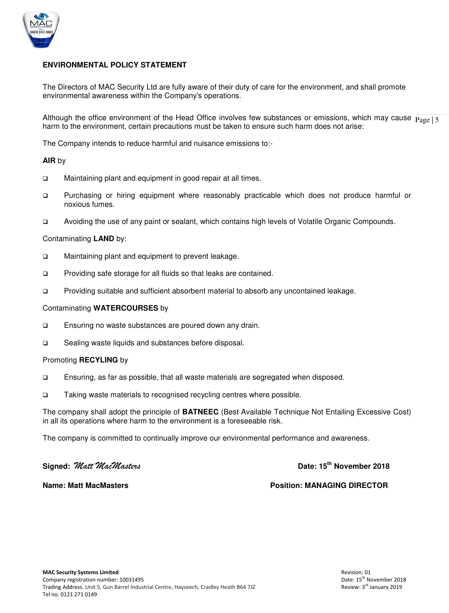

# **ENVIRONMENTAL POLICY STATEMENT**

The Directors of MAC Security Ltd are fully aware of their duty of care for the environment, and shall promote environmental awareness within the Company's operations.

Although the office environment of the Head Office involves few substances or emissions, which may cause  $_{\text{Page}}|5$ harm to the environment, certain precautions must be taken to ensure such harm does not arise:

The Company intends to reduce harmful and nuisance emissions to:-

#### **AIR** by

- □ Maintaining plant and equipment in good repair at all times.
- Purchasing or hiring equipment where reasonably practicable which does not produce harmful or noxious fumes.
- Avoiding the use of any paint or sealant, which contains high levels of Volatile Organic Compounds.

#### Contaminating **LAND** by:

- □ Maintaining plant and equipment to prevent leakage.
- □ Providing safe storage for all fluids so that leaks are contained.
- Providing suitable and sufficient absorbent material to absorb any uncontained leakage.

#### Contaminating **WATERCOURSES** by

- Ensuring no waste substances are poured down any drain.
- □ Sealing waste liquids and substances before disposal.

#### Promoting **RECYLING** by

- Ensuring, as far as possible, that all waste materials are segregated when disposed.
- □ Taking waste materials to recognised recycling centres where possible.

The company shall adopt the principle of **BATNEEC** (Best Available Technique Not Entailing Excessive Cost) in all its operations where harm to the environment is a foreseeable risk.

The company is committed to continually improve our environmental performance and awareness.

**Signed:** *Matt MacMasters* **Date: 15th November 2018** 

**Name: Matt MacMasters Position: MANAGING DIRECTOR**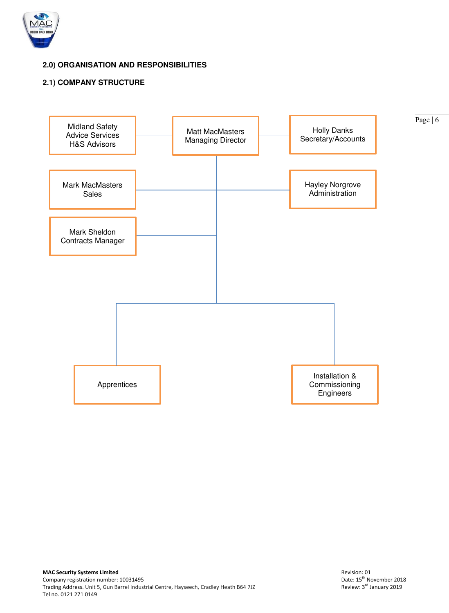

# **2.0) ORGANISATION AND RESPONSIBILITIES**

# **2.1) COMPANY STRUCTURE**

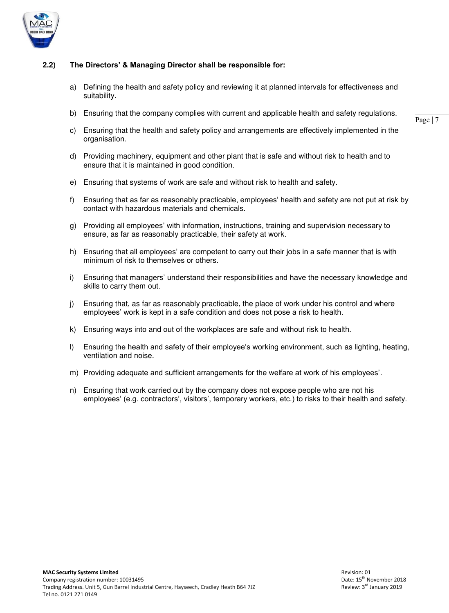

# **2.2) The Directors' & Managing Director shall be responsible for:**

- a) Defining the health and safety policy and reviewing it at planned intervals for effectiveness and suitability.
- b) Ensuring that the company complies with current and applicable health and safety regulations.

- c) Ensuring that the health and safety policy and arrangements are effectively implemented in the organisation.
- d) Providing machinery, equipment and other plant that is safe and without risk to health and to ensure that it is maintained in good condition.
- e) Ensuring that systems of work are safe and without risk to health and safety.
- f) Ensuring that as far as reasonably practicable, employees' health and safety are not put at risk by contact with hazardous materials and chemicals.
- g) Providing all employees' with information, instructions, training and supervision necessary to ensure, as far as reasonably practicable, their safety at work.
- h) Ensuring that all employees' are competent to carry out their jobs in a safe manner that is with minimum of risk to themselves or others.
- i) Ensuring that managers' understand their responsibilities and have the necessary knowledge and skills to carry them out.
- j) Ensuring that, as far as reasonably practicable, the place of work under his control and where employees' work is kept in a safe condition and does not pose a risk to health.
- k) Ensuring ways into and out of the workplaces are safe and without risk to health.
- l) Ensuring the health and safety of their employee's working environment, such as lighting, heating, ventilation and noise.
- m) Providing adequate and sufficient arrangements for the welfare at work of his employees'.
- n) Ensuring that work carried out by the company does not expose people who are not his employees' (e.g. contractors', visitors', temporary workers, etc.) to risks to their health and safety.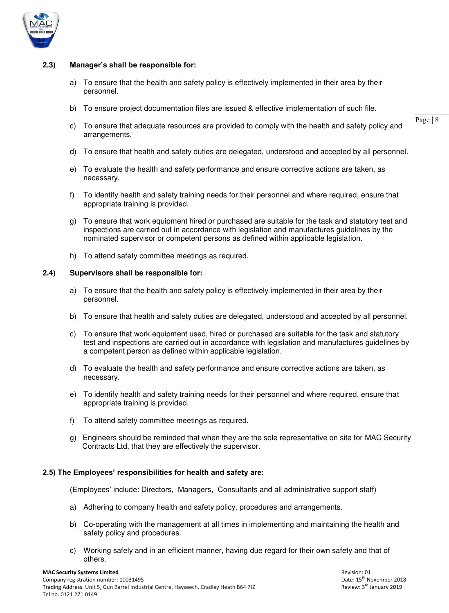

#### **2.3) Manager's shall be responsible for:**

- a) To ensure that the health and safety policy is effectively implemented in their area by their personnel.
- b) To ensure project documentation files are issued & effective implementation of such file.
- c) To ensure that adequate resources are provided to comply with the health and safety policy and arrangements.
- d) To ensure that health and safety duties are delegated, understood and accepted by all personnel.
- e) To evaluate the health and safety performance and ensure corrective actions are taken, as necessary.
- f) To identify health and safety training needs for their personnel and where required, ensure that appropriate training is provided.
- g) To ensure that work equipment hired or purchased are suitable for the task and statutory test and inspections are carried out in accordance with legislation and manufactures guidelines by the nominated supervisor or competent persons as defined within applicable legislation.
- h) To attend safety committee meetings as required.

# **2.4) Supervisors shall be responsible for:**

- a) To ensure that the health and safety policy is effectively implemented in their area by their personnel.
- b) To ensure that health and safety duties are delegated, understood and accepted by all personnel.
- c) To ensure that work equipment used, hired or purchased are suitable for the task and statutory test and inspections are carried out in accordance with legislation and manufactures guidelines by a competent person as defined within applicable legislation.
- d) To evaluate the health and safety performance and ensure corrective actions are taken, as necessary.
- e) To identify health and safety training needs for their personnel and where required, ensure that appropriate training is provided.
- f) To attend safety committee meetings as required.
- g) Engineers should be reminded that when they are the sole representative on site for MAC Security Contracts Ltd, that they are effectively the supervisor.

#### **2.5) The Employees' responsibilities for health and safety are:**

(Employees' include: Directors, Managers, Consultants and all administrative support staff)

- a) Adhering to company health and safety policy, procedures and arrangements.
- b) Co-operating with the management at all times in implementing and maintaining the health and safety policy and procedures.
- c) Working safely and in an efficient manner, having due regard for their own safety and that of others.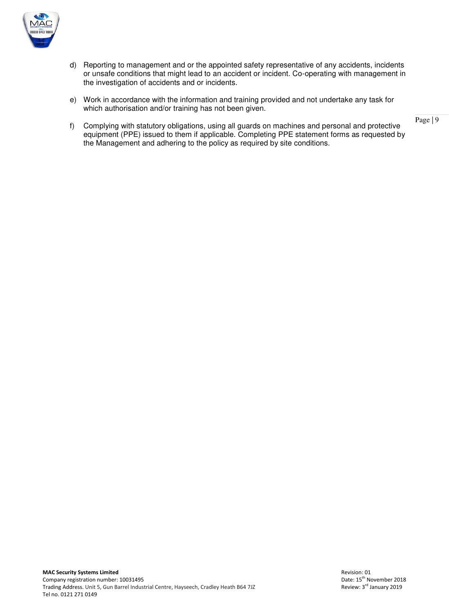

- d) Reporting to management and or the appointed safety representative of any accidents, incidents or unsafe conditions that might lead to an accident or incident. Co-operating with management in the investigation of accidents and or incidents.
- e) Work in accordance with the information and training provided and not undertake any task for which authorisation and/or training has not been given.
- f) Complying with statutory obligations, using all guards on machines and personal and protective equipment (PPE) issued to them if applicable. Completing PPE statement forms as requested by the Management and adhering to the policy as required by site conditions.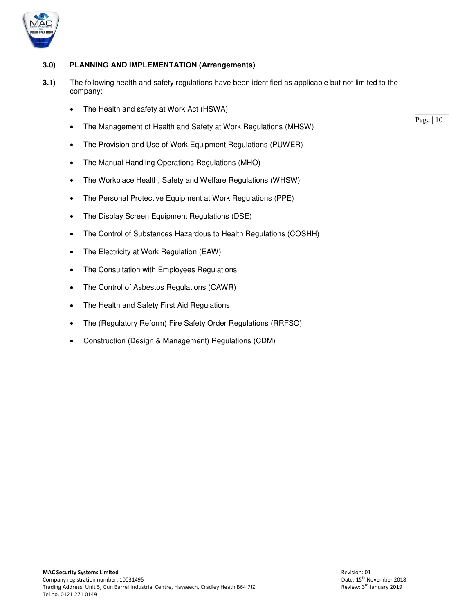

# **3.0) PLANNING AND IMPLEMENTATION (Arrangements)**

- **3.1)** The following health and safety regulations have been identified as applicable but not limited to the company:
	- The Health and safety at Work Act (HSWA)
	- The Management of Health and Safety at Work Regulations (MHSW)
	- The Provision and Use of Work Equipment Regulations (PUWER)
	- The Manual Handling Operations Regulations (MHO)
	- The Workplace Health, Safety and Welfare Regulations (WHSW)
	- The Personal Protective Equipment at Work Regulations (PPE)
	- The Display Screen Equipment Regulations (DSE)
	- The Control of Substances Hazardous to Health Regulations (COSHH)
	- The Electricity at Work Regulation (EAW)
	- The Consultation with Employees Regulations
	- The Control of Asbestos Regulations (CAWR)
	- The Health and Safety First Aid Regulations
	- The (Regulatory Reform) Fire Safety Order Regulations (RRFSO)
	- Construction (Design & Management) Regulations (CDM)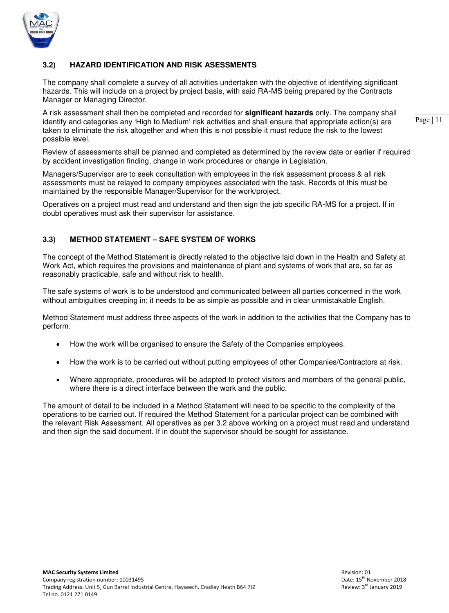

# **3.2) HAZARD IDENTIFICATION AND RISK ASESSMENTS**

The company shall complete a survey of all activities undertaken with the objective of identifying significant hazards. This will include on a project by project basis, with said RA-MS being prepared by the Contracts Manager or Managing Director.

A risk assessment shall then be completed and recorded for **significant hazards** only. The company shall identify and categories any 'High to Medium' risk activities and shall ensure that appropriate action(s) are taken to eliminate the risk altogether and when this is not possible it must reduce the risk to the lowest possible level.

Review of assessments shall be planned and completed as determined by the review date or earlier if required by accident investigation finding, change in work procedures or change in Legislation.

Managers/Supervisor are to seek consultation with employees in the risk assessment process & all risk assessments must be relayed to company employees associated with the task. Records of this must be maintained by the responsible Manager/Supervisor for the work/project.

Operatives on a project must read and understand and then sign the job specific RA-MS for a project. If in doubt operatives must ask their supervisor for assistance.

# **3.3) METHOD STATEMENT – SAFE SYSTEM OF WORKS**

The concept of the Method Statement is directly related to the objective laid down in the Health and Safety at Work Act, which requires the provisions and maintenance of plant and systems of work that are, so far as reasonably practicable, safe and without risk to health.

The safe systems of work is to be understood and communicated between all parties concerned in the work without ambiguities creeping in; it needs to be as simple as possible and in clear unmistakable English.

Method Statement must address three aspects of the work in addition to the activities that the Company has to perform.

- How the work will be organised to ensure the Safety of the Companies employees.
- How the work is to be carried out without putting employees of other Companies/Contractors at risk.
- Where appropriate, procedures will be adopted to protect visitors and members of the general public, where there is a direct interface between the work and the public.

The amount of detail to be included in a Method Statement will need to be specific to the complexity of the operations to be carried out. If required the Method Statement for a particular project can be combined with the relevant Risk Assessment. All operatives as per 3.2 above working on a project must read and understand and then sign the said document. If in doubt the supervisor should be sought for assistance.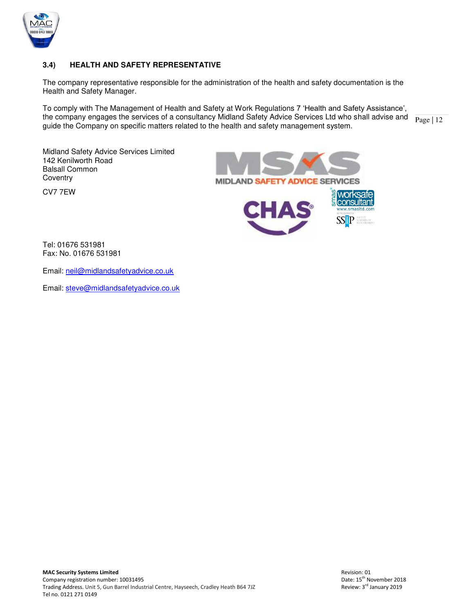

# **3.4) HEALTH AND SAFETY REPRESENTATIVE**

The company representative responsible for the administration of the health and safety documentation is the Health and Safety Manager.

the company engages the services of a consultancy Midland Safety Advice Services Ltd who shall advise and  $\frac{}{\text{Page} | 12}$ To comply with The Management of Health and Safety at Work Regulations 7 'Health and Safety Assistance', guide the Company on specific matters related to the health and safety management system.

Midland Safety Advice Services Limited 142 Kenilworth Road Balsall Common **Coventry** 

CV7 7EW



 $\overline{a}$ Tel: 01676 531981 Fax: No. 01676 531981

Email: [neil@midlandsafetyadvice.co.uk](mailto:neil@midlandsafetyadvice.co.uk) 

Email: [steve@midlandsafetyadvice.co.uk](mailto:steve@midlandsafetyadvice.co.uk)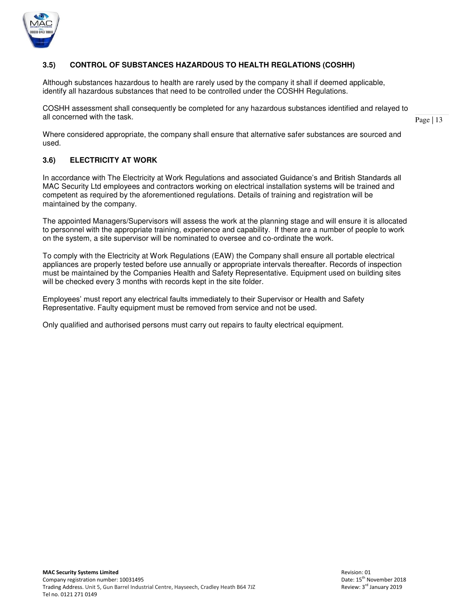

# **3.5) CONTROL OF SUBSTANCES HAZARDOUS TO HEALTH REGLATIONS (COSHH)**

Although substances hazardous to health are rarely used by the company it shall if deemed applicable, identify all hazardous substances that need to be controlled under the COSHH Regulations.

COSHH assessment shall consequently be completed for any hazardous substances identified and relayed to all concerned with the task.

Page | 13

 Where considered appropriate, the company shall ensure that alternative safer substances are sourced and used.

# **3.6) ELECTRICITY AT WORK**

 In accordance with The Electricity at Work Regulations and associated Guidance's and British Standards all MAC Security Ltd employees and contractors working on electrical installation systems will be trained and competent as required by the aforementioned regulations. Details of training and registration will be maintained by the company.

 The appointed Managers/Supervisors will assess the work at the planning stage and will ensure it is allocated to personnel with the appropriate training, experience and capability. If there are a number of people to work on the system, a site supervisor will be nominated to oversee and co-ordinate the work.

To comply with the Electricity at Work Regulations (EAW) the Company shall ensure all portable electrical appliances are properly tested before use annually or appropriate intervals thereafter. Records of inspection must be maintained by the Companies Health and Safety Representative. Equipment used on building sites will be checked every 3 months with records kept in the site folder.

Employees' must report any electrical faults immediately to their Supervisor or Health and Safety Representative. Faulty equipment must be removed from service and not be used.

Only qualified and authorised persons must carry out repairs to faulty electrical equipment.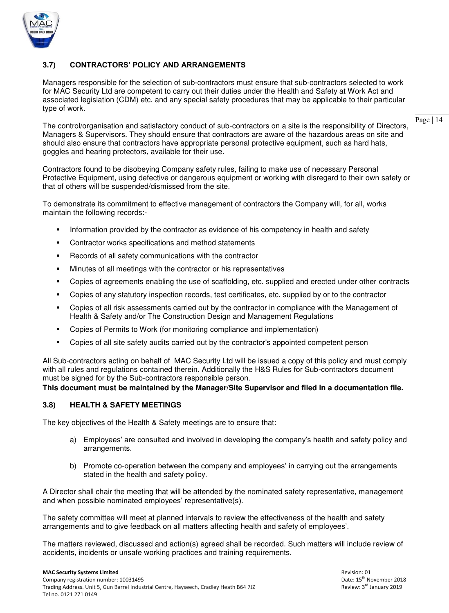

# **3.7) CONTRACTORS' POLICY AND ARRANGEMENTS**

Managers responsible for the selection of sub-contractors must ensure that sub-contractors selected to work for MAC Security Ltd are competent to carry out their duties under the Health and Safety at Work Act and associated legislation (CDM) etc. and any special safety procedures that may be applicable to their particular type of work.

The control/organisation and satisfactory conduct of sub-contractors on a site is the responsibility of Directors, Managers & Supervisors. They should ensure that contractors are aware of the hazardous areas on site and should also ensure that contractors have appropriate personal protective equipment, such as hard hats, goggles and hearing protectors, available for their use.

Contractors found to be disobeying Company safety rules, failing to make use of necessary Personal Protective Equipment, using defective or dangerous equipment or working with disregard to their own safety or that of others will be suspended/dismissed from the site.

To demonstrate its commitment to effective management of contractors the Company will, for all, works maintain the following records:-

- **Information provided by the contractor as evidence of his competency in health and safety**
- Contractor works specifications and method statements
- Records of all safety communications with the contractor
- Minutes of all meetings with the contractor or his representatives
- Copies of agreements enabling the use of scaffolding, etc. supplied and erected under other contracts
- Copies of any statutory inspection records, test certificates, etc. supplied by or to the contractor
- Copies of all risk assessments carried out by the contractor in compliance with the Management of Health & Safety and/or The Construction Design and Management Regulations
- Copies of Permits to Work (for monitoring compliance and implementation)
- Copies of all site safety audits carried out by the contractor's appointed competent person

All Sub-contractors acting on behalf of MAC Security Ltd will be issued a copy of this policy and must comply with all rules and regulations contained therein. Additionally the H&S Rules for Sub-contractors document must be signed for by the Sub-contractors responsible person.

**This document must be maintained by the Manager/Site Supervisor and filed in a documentation file.** 

#### **3.8) HEALTH & SAFETY MEETINGS**

The key objectives of the Health & Safety meetings are to ensure that:

- a) Employees' are consulted and involved in developing the company's health and safety policy and arrangements.
- b) Promote co-operation between the company and employees' in carrying out the arrangements stated in the health and safety policy.

A Director shall chair the meeting that will be attended by the nominated safety representative, management and when possible nominated employees' representative(s).

The safety committee will meet at planned intervals to review the effectiveness of the health and safety arrangements and to give feedback on all matters affecting health and safety of employees'.

The matters reviewed, discussed and action(s) agreed shall be recorded. Such matters will include review of accidents, incidents or unsafe working practices and training requirements.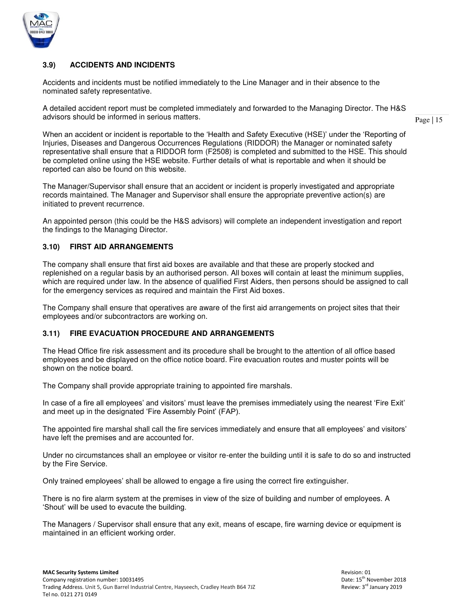

# **3.9) ACCIDENTS AND INCIDENTS**

Accidents and incidents must be notified immediately to the Line Manager and in their absence to the nominated safety representative.

A detailed accident report must be completed immediately and forwarded to the Managing Director. The H&S advisors should be informed in serious matters.

Page | 15

When an accident or incident is reportable to the 'Health and Safety Executive (HSE)' under the 'Reporting of Injuries, Diseases and Dangerous Occurrences Regulations (RIDDOR) the Manager or nominated safety representative shall ensure that a RIDDOR form (F2508) is completed and submitted to the HSE. This should be completed online using the HSE website. Further details of what is reportable and when it should be reported can also be found on this website.

The Manager/Supervisor shall ensure that an accident or incident is properly investigated and appropriate records maintained. The Manager and Supervisor shall ensure the appropriate preventive action(s) are initiated to prevent recurrence.

An appointed person (this could be the H&S advisors) will complete an independent investigation and report the findings to the Managing Director.

# **3.10) FIRST AID ARRANGEMENTS**

The company shall ensure that first aid boxes are available and that these are properly stocked and replenished on a regular basis by an authorised person. All boxes will contain at least the minimum supplies, which are required under law. In the absence of qualified First Aiders, then persons should be assigned to call for the emergency services as required and maintain the First Aid boxes.

The Company shall ensure that operatives are aware of the first aid arrangements on project sites that their employees and/or subcontractors are working on.

#### **3.11) FIRE EVACUATION PROCEDURE AND ARRANGEMENTS**

The Head Office fire risk assessment and its procedure shall be brought to the attention of all office based employees and be displayed on the office notice board. Fire evacuation routes and muster points will be shown on the notice board.

The Company shall provide appropriate training to appointed fire marshals.

In case of a fire all employees' and visitors' must leave the premises immediately using the nearest 'Fire Exit' and meet up in the designated 'Fire Assembly Point' (FAP).

The appointed fire marshal shall call the fire services immediately and ensure that all employees' and visitors' have left the premises and are accounted for.

Under no circumstances shall an employee or visitor re-enter the building until it is safe to do so and instructed by the Fire Service.

Only trained employees' shall be allowed to engage a fire using the correct fire extinguisher.

There is no fire alarm system at the premises in view of the size of building and number of employees. A 'Shout' will be used to evacute the building.

The Managers / Supervisor shall ensure that any exit, means of escape, fire warning device or equipment is maintained in an efficient working order.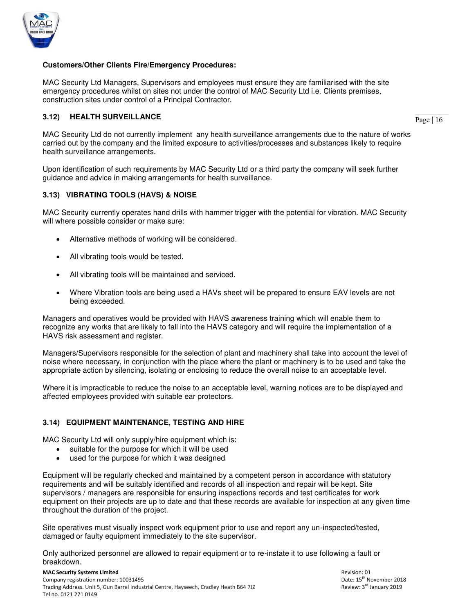

# **Customers/Other Clients Fire/Emergency Procedures:**

MAC Security Ltd Managers, Supervisors and employees must ensure they are familiarised with the site emergency procedures whilst on sites not under the control of MAC Security Ltd i.e. Clients premises, construction sites under control of a Principal Contractor.

# **3.12) HEALTH SURVEILLANCE**

Page | 16

MAC Security Ltd do not currently implement any health surveillance arrangements due to the nature of works carried out by the company and the limited exposure to activities/processes and substances likely to require health surveillance arrangements.

Upon identification of such requirements by MAC Security Ltd or a third party the company will seek further guidance and advice in making arrangements for health surveillance.

# **3.13) VIBRATING TOOLS (HAVS) & NOISE**

MAC Security currently operates hand drills with hammer trigger with the potential for vibration. MAC Security will where possible consider or make sure:

- Alternative methods of working will be considered.
- All vibrating tools would be tested.
- All vibrating tools will be maintained and serviced.
- Where Vibration tools are being used a HAVs sheet will be prepared to ensure EAV levels are not being exceeded.

Managers and operatives would be provided with HAVS awareness training which will enable them to recognize any works that are likely to fall into the HAVS category and will require the implementation of a HAVS risk assessment and register.

Managers/Supervisors responsible for the selection of plant and machinery shall take into account the level of noise where necessary, in conjunction with the place where the plant or machinery is to be used and take the appropriate action by silencing, isolating or enclosing to reduce the overall noise to an acceptable level.

Where it is impracticable to reduce the noise to an acceptable level, warning notices are to be displayed and affected employees provided with suitable ear protectors.

# **3.14) EQUIPMENT MAINTENANCE, TESTING AND HIRE**

MAC Security Ltd will only supply/hire equipment which is:

- suitable for the purpose for which it will be used
- used for the purpose for which it was designed

Equipment will be regularly checked and maintained by a competent person in accordance with statutory requirements and will be suitably identified and records of all inspection and repair will be kept. Site supervisors / managers are responsible for ensuring inspections records and test certificates for work equipment on their projects are up to date and that these records are available for inspection at any given time throughout the duration of the project.

Site operatives must visually inspect work equipment prior to use and report any un-inspected/tested, damaged or faulty equipment immediately to the site supervisor.

Only authorized personnel are allowed to repair equipment or to re-instate it to use following a fault or breakdown.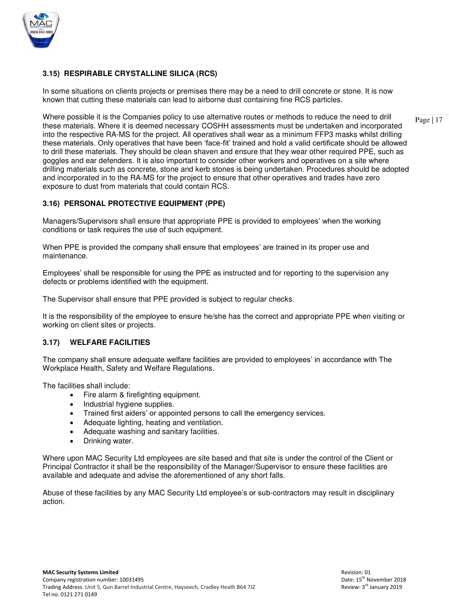

# **3.15) RESPIRABLE CRYSTALLINE SILICA (RCS)**

In some situations on clients projects or premises there may be a need to drill concrete or stone. It is now known that cutting these materials can lead to airborne dust containing fine RCS particles.

Where possible it is the Companies policy to use alternative routes or methods to reduce the need to drill these materials. Where it is deemed necessary COSHH assessments must be undertaken and incorporated into the respective RA-MS for the project. All operatives shall wear as a minimum FFP3 masks whilst drilling these materials. Only operatives that have been 'face-fit' trained and hold a valid certificate should be allowed to drill these materials. They should be clean shaven and ensure that they wear other required PPE, such as goggles and ear defenders. It is also important to consider other workers and operatives on a site where drilling materials such as concrete, stone and kerb stones is being undertaken. Procedures should be adopted and incorporated in to the RA-MS for the project to ensure that other operatives and trades have zero exposure to dust from materials that could contain RCS.

# **3.16) PERSONAL PROTECTIVE EQUIPMENT (PPE)**

Managers/Supervisors shall ensure that appropriate PPE is provided to employees' when the working conditions or task requires the use of such equipment.

When PPE is provided the company shall ensure that employees' are trained in its proper use and maintenance.

Employees' shall be responsible for using the PPE as instructed and for reporting to the supervision any defects or problems identified with the equipment.

The Supervisor shall ensure that PPE provided is subject to regular checks.

It is the responsibility of the employee to ensure he/she has the correct and appropriate PPE when visiting or working on client sites or projects.

#### **3.17) WELFARE FACILITIES**

The company shall ensure adequate welfare facilities are provided to employees' in accordance with The Workplace Health, Safety and Welfare Regulations.

The facilities shall include:

- Fire alarm & firefighting equipment.
- Industrial hygiene supplies.
- Trained first aiders' or appointed persons to call the emergency services.
- Adequate lighting, heating and ventilation.
- Adequate washing and sanitary facilities.
- Drinking water.

Where upon MAC Security Ltd employees are site based and that site is under the control of the Client or Principal Contractor it shall be the responsibility of the Manager/Supervisor to ensure these facilities are available and adequate and advise the aforementioned of any short falls.

Abuse of these facilities by any MAC Security Ltd employee's or sub-contractors may result in disciplinary action.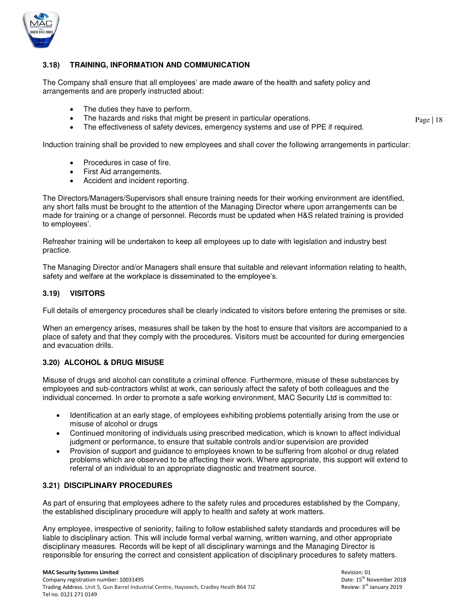

# **3.18) TRAINING, INFORMATION AND COMMUNICATION**

The Company shall ensure that all employees' are made aware of the health and safety policy and arrangements and are properly instructed about:

- The duties they have to perform.
- The hazards and risks that might be present in particular operations.
- The effectiveness of safety devices, emergency systems and use of PPE if required.

Induction training shall be provided to new employees and shall cover the following arrangements in particular:

- Procedures in case of fire.
- First Aid arrangements.
- Accident and incident reporting.

The Directors/Managers/Supervisors shall ensure training needs for their working environment are identified, any short falls must be brought to the attention of the Managing Director where upon arrangements can be made for training or a change of personnel. Records must be updated when H&S related training is provided to employees'.

Refresher training will be undertaken to keep all employees up to date with legislation and industry best practice.

The Managing Director and/or Managers shall ensure that suitable and relevant information relating to health, safety and welfare at the workplace is disseminated to the employee's.

# **3.19) VISITORS**

Full details of emergency procedures shall be clearly indicated to visitors before entering the premises or site.

When an emergency arises, measures shall be taken by the host to ensure that visitors are accompanied to a place of safety and that they comply with the procedures. Visitors must be accounted for during emergencies and evacuation drills.

# **3.20) ALCOHOL & DRUG MISUSE**

Misuse of drugs and alcohol can constitute a criminal offence. Furthermore, misuse of these substances by employees and sub-contractors whilst at work, can seriously affect the safety of both colleagues and the individual concerned. In order to promote a safe working environment, MAC Security Ltd is committed to:

- Identification at an early stage, of employees exhibiting problems potentially arising from the use or misuse of alcohol or drugs
- Continued monitoring of individuals using prescribed medication, which is known to affect individual judgment or performance, to ensure that suitable controls and/or supervision are provided
- Provision of support and guidance to employees known to be suffering from alcohol or drug related problems which are observed to be affecting their work. Where appropriate, this support will extend to referral of an individual to an appropriate diagnostic and treatment source.

#### **3.21) DISCIPLINARY PROCEDURES**

As part of ensuring that employees adhere to the safety rules and procedures established by the Company, the established disciplinary procedure will apply to health and safety at work matters.

 Any employee, irrespective of seniority, failing to follow established safety standards and procedures will be liable to disciplinary action. This will include formal verbal warning, written warning, and other appropriate disciplinary measures. Records will be kept of all disciplinary warnings and the Managing Director is responsible for ensuring the correct and consistent application of disciplinary procedures to safety matters.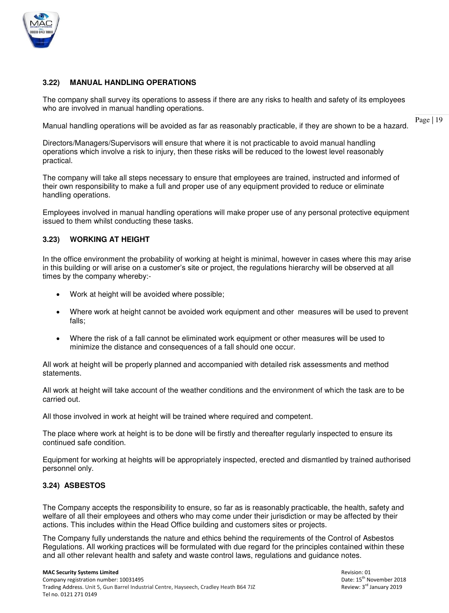

# **3.22) MANUAL HANDLING OPERATIONS**

The company shall survey its operations to assess if there are any risks to health and safety of its employees who are involved in manual handling operations.

Page | 19 Manual handling operations will be avoided as far as reasonably practicable, if they are shown to be a hazard.

Directors/Managers/Supervisors will ensure that where it is not practicable to avoid manual handling operations which involve a risk to injury, then these risks will be reduced to the lowest level reasonably practical.

The company will take all steps necessary to ensure that employees are trained, instructed and informed of their own responsibility to make a full and proper use of any equipment provided to reduce or eliminate handling operations.

Employees involved in manual handling operations will make proper use of any personal protective equipment issued to them whilst conducting these tasks.

# **3.23) WORKING AT HEIGHT**

In the office environment the probability of working at height is minimal, however in cases where this may arise in this building or will arise on a customer's site or project, the regulations hierarchy will be observed at all times by the company whereby:-

- Work at height will be avoided where possible:
- Where work at height cannot be avoided work equipment and other measures will be used to prevent falls;
- Where the risk of a fall cannot be eliminated work equipment or other measures will be used to minimize the distance and consequences of a fall should one occur.

All work at height will be properly planned and accompanied with detailed risk assessments and method statements.

All work at height will take account of the weather conditions and the environment of which the task are to be carried out.

All those involved in work at height will be trained where required and competent.

The place where work at height is to be done will be firstly and thereafter regularly inspected to ensure its continued safe condition.

Equipment for working at heights will be appropriately inspected, erected and dismantled by trained authorised personnel only.

#### **3.24) ASBESTOS**

The Company accepts the responsibility to ensure, so far as is reasonably practicable, the health, safety and welfare of all their employees and others who may come under their jurisdiction or may be affected by their actions. This includes within the Head Office building and customers sites or projects.

The Company fully understands the nature and ethics behind the requirements of the Control of Asbestos Regulations. All working practices will be formulated with due regard for the principles contained within these and all other relevant health and safety and waste control laws, regulations and guidance notes.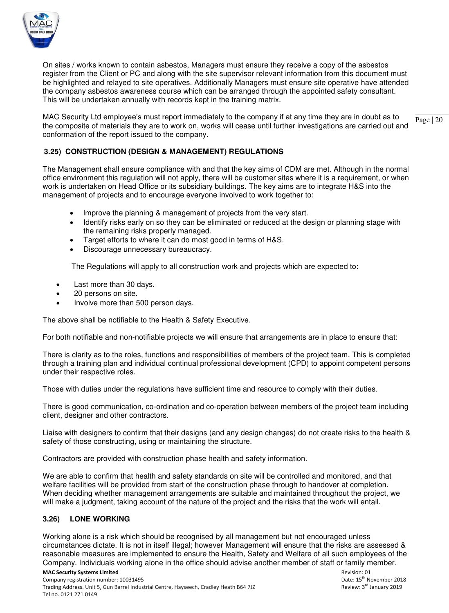

On sites / works known to contain asbestos, Managers must ensure they receive a copy of the asbestos register from the Client or PC and along with the site supervisor relevant information from this document must be highlighted and relayed to site operatives. Additionally Managers must ensure site operative have attended the company asbestos awareness course which can be arranged through the appointed safety consultant. This will be undertaken annually with records kept in the training matrix.

Page | 20 MAC Security Ltd employee's must report immediately to the company if at any time they are in doubt as to the composite of materials they are to work on, works will cease until further investigations are carried out and conformation of the report issued to the company.

# **3.25) CONSTRUCTION (DESIGN & MANAGEMENT) REGULATIONS**

The Management shall ensure compliance with and that the key aims of CDM are met. Although in the normal office environment this regulation will not apply, there will be customer sites where it is a requirement, or when work is undertaken on Head Office or its subsidiary buildings. The key aims are to integrate H&S into the management of projects and to encourage everyone involved to work together to:

- Improve the planning & management of projects from the very start.
- Identify risks early on so they can be eliminated or reduced at the design or planning stage with the remaining risks properly managed.
- Target efforts to where it can do most good in terms of H&S.
- Discourage unnecessary bureaucracy.

The Regulations will apply to all construction work and projects which are expected to:

- Last more than 30 days.
- 20 persons on site.
- Involve more than 500 person days.

The above shall be notifiable to the Health & Safety Executive.

For both notifiable and non-notifiable projects we will ensure that arrangements are in place to ensure that:

There is clarity as to the roles, functions and responsibilities of members of the project team. This is completed through a training plan and individual continual professional development (CPD) to appoint competent persons under their respective roles.

Those with duties under the regulations have sufficient time and resource to comply with their duties.

There is good communication, co-ordination and co-operation between members of the project team including client, designer and other contractors.

Liaise with designers to confirm that their designs (and any design changes) do not create risks to the health & safety of those constructing, using or maintaining the structure.

Contractors are provided with construction phase health and safety information.

We are able to confirm that health and safety standards on site will be controlled and monitored, and that welfare facilities will be provided from start of the construction phase through to handover at completion. When deciding whether management arrangements are suitable and maintained throughout the project, we will make a judgment, taking account of the nature of the project and the risks that the work will entail.

#### **3.26) LONE WORKING**

Working alone is a risk which should be recognised by all management but not encouraged unless circumstances dictate. It is not in itself illegal; however Management will ensure that the risks are assessed & reasonable measures are implemented to ensure the Health, Safety and Welfare of all such employees of the Company. Individuals working alone in the office should advise another member of staff or family member.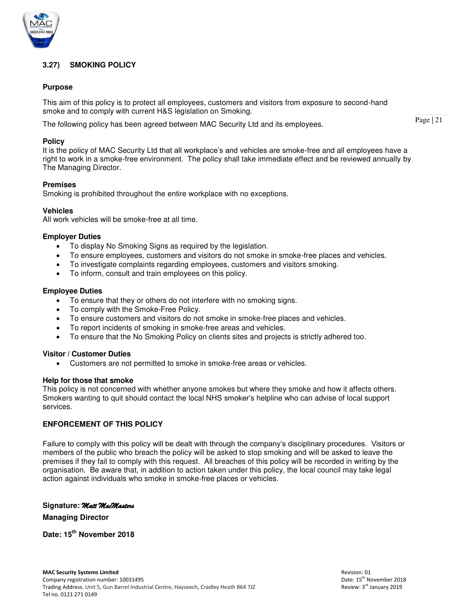

# **3.27) SMOKING POLICY**

# **Purpose**

This aim of this policy is to protect all employees, customers and visitors from exposure to second-hand smoke and to comply with current H&S legislation on Smoking.

The following policy has been agreed between MAC Security Ltd and its employees.

#### **Policy**

It is the policy of MAC Security Ltd that all workplace's and vehicles are smoke-free and all employees have a right to work in a smoke-free environment. The policy shall take immediate effect and be reviewed annually by The Managing Director.

#### **Premises**

Smoking is prohibited throughout the entire workplace with no exceptions.

#### **Vehicles**

All work vehicles will be smoke-free at all time.

#### **Employer Duties**

- To display No Smoking Signs as required by the legislation.
- To ensure employees, customers and visitors do not smoke in smoke-free places and vehicles.
- To investigate complaints regarding employees, customers and visitors smoking.
- To inform, consult and train employees on this policy.

#### **Employee Duties**

- To ensure that they or others do not interfere with no smoking signs.
- To comply with the Smoke-Free Policy.
- To ensure customers and visitors do not smoke in smoke-free places and vehicles.
- To report incidents of smoking in smoke-free areas and vehicles.
- To ensure that the No Smoking Policy on clients sites and projects is strictly adhered too.

#### **Visitor / Customer Duties**

Customers are not permitted to smoke in smoke-free areas or vehicles.

#### **Help for those that smoke**

This policy is not concerned with whether anyone smokes but where they smoke and how it affects others. Smokers wanting to quit should contact the local NHS smoker's helpline who can advise of local support services.

#### **ENFORCEMENT OF THIS POLICY**

Failure to comply with this policy will be dealt with through the company's disciplinary procedures. Visitors or members of the public who breach the policy will be asked to stop smoking and will be asked to leave the premises if they fail to comply with this request. All breaches of this policy will be recorded in writing by the organisation. Be aware that, in addition to action taken under this policy, the local council may take legal action against individuals who smoke in smoke-free places or vehicles.

#### **Signature:** *Matt MacMasters*

**Managing Director** 

**Date: 15th November 2018**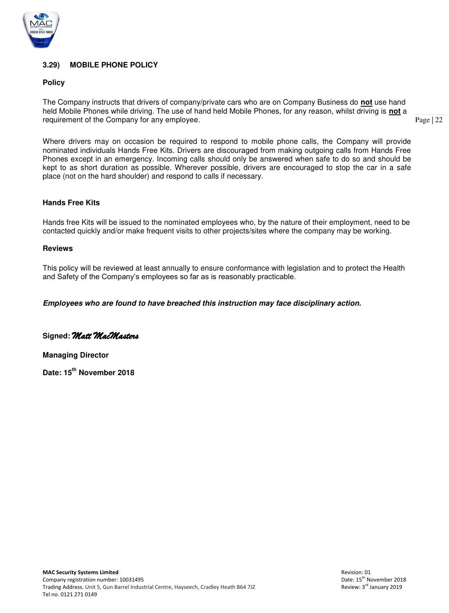

# **3.29) MOBILE PHONE POLICY**

### **Policy**

The Company instructs that drivers of company/private cars who are on Company Business do **not** use hand held Mobile Phones while driving. The use of hand held Mobile Phones, for any reason, whilst driving is **not** a requirement of the Company for any employee.

Page | 22

Where drivers may on occasion be required to respond to mobile phone calls, the Company will provide nominated individuals Hands Free Kits. Drivers are discouraged from making outgoing calls from Hands Free Phones except in an emergency. Incoming calls should only be answered when safe to do so and should be kept to as short duration as possible. Wherever possible, drivers are encouraged to stop the car in a safe place (not on the hard shoulder) and respond to calls if necessary.

#### **Hands Free Kits**

Hands free Kits will be issued to the nominated employees who, by the nature of their employment, need to be contacted quickly and/or make frequent visits to other projects/sites where the company may be working.

#### **Reviews**

This policy will be reviewed at least annually to ensure conformance with legislation and to protect the Health and Safety of the Company's employees so far as is reasonably practicable.

*Employees who are found to have breached this instruction may face disciplinary action.* 

**Signed:** *Matt MacMasters*

**Managing Director** 

**Date: 15th November 2018**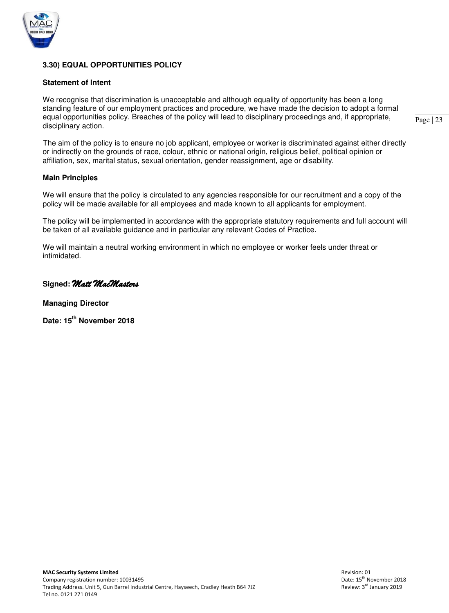

# **3.30) EQUAL OPPORTUNITIES POLICY**

#### **Statement of Intent**

We recognise that discrimination is unacceptable and although equality of opportunity has been a long standing feature of our employment practices and procedure, we have made the decision to adopt a formal equal opportunities policy. Breaches of the policy will lead to disciplinary proceedings and, if appropriate, disciplinary action.

Page | 23

 The aim of the policy is to ensure no job applicant, employee or worker is discriminated against either directly or indirectly on the grounds of race, colour, ethnic or national origin, religious belief, political opinion or affiliation, sex, marital status, sexual orientation, gender reassignment, age or disability.

#### **Main Principles**

We will ensure that the policy is circulated to any agencies responsible for our recruitment and a copy of the policy will be made available for all employees and made known to all applicants for employment.

 The policy will be implemented in accordance with the appropriate statutory requirements and full account will be taken of all available guidance and in particular any relevant Codes of Practice.

 We will maintain a neutral working environment in which no employee or worker feels under threat or intimidated.

# **Signed:** *Matt MacMasters*

**Managing Director** 

**Date: 15th November 2018**